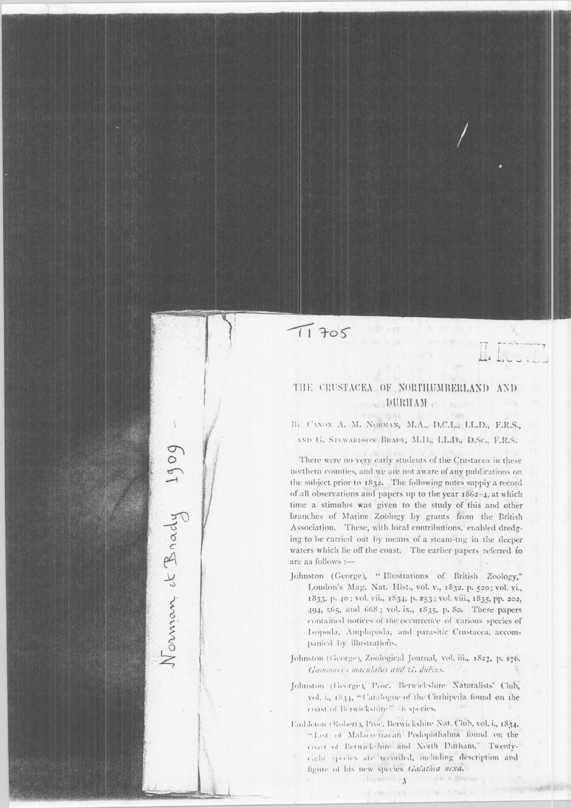$T1705$ 

Norman et Brady 1909

## THE CRUSTACEA OF NORTHUMBERLAND AND DURHAM STAR

By CANON A. M. NORMAN, M.A., D.C.L., LL.D., F.R.S., AND G. STEWARDSON BRADY, M.D., LL.D., D.Sc., F.R.S.

There were no very early students of the Crustacea in these northern counties, and we are not aware of any publications on the subject prior to 1832. The following notes supply a record of all observations and papers up to the year  $1862-4$ , at which time a stimulus was given to the study of this and other branches of Marine Zoology by grants from the British Association. These, with local contributions, enabled dredging to be carried out by means of a steam-tug in the deeper waters which lie off the coast. The earlier papers referred to are as follows :-

Johnston (George), "Illustrations of British Zoology," Loudon's Mag. Nat. Hist., vol. v., 1832. p. 520; vol. vi., 1833, p. 40; vol. vii., 1834, p. 253; vol. viii., 1835, pp. 202, 494, 565, and 668; vol. ix., 1835, p. 80. These papers contained notices of the occurrence of various species of Isopoda, Amphipoda, and parasitic Crustacea, accompanied by illustrations.

Johnston (George), Zoological Journal, vol. iii., 1827, p. 176. Gammarys maculatus and G. dubins.

Johnston (George), Proc. Berwickshire Naturalists' Club, vol. i., 1834, "Catalogue of the Citrhipeda found on the coast of Berwickshire" 46 species,

Embleton (Robert), Proc. Berwickshire Nat. Club, vol. i., 1834. "List of Malaco-fracan Podophthalina found on the coast of Betwick-Eire and North Durham," Twentyeight speries are recorded, including description and figure of his new species Galathea nexa.

> → ( - hou ## = 2 >3 ) ( ) : 2 d # = 4 # metal KING HOPE HE'D

 $J.521$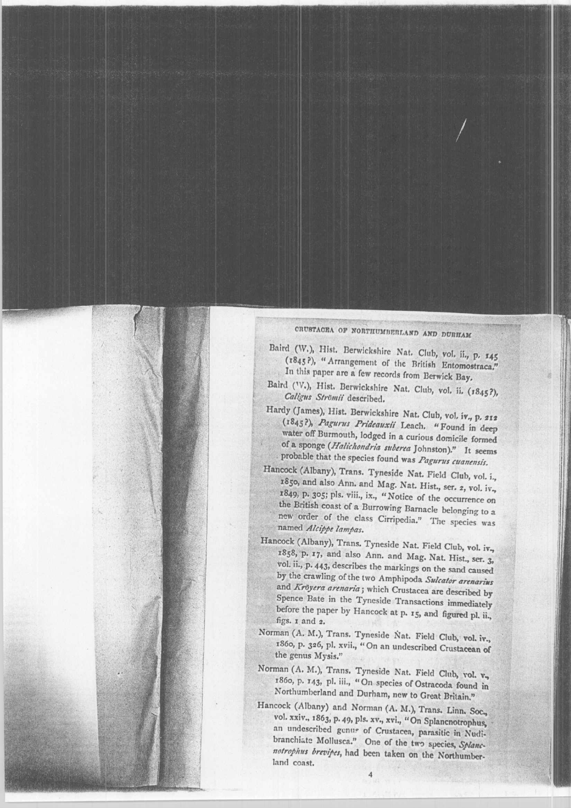## CRUSTACEA OF NORTHUMBERLAND AND DURHAM

- Baird (W.), Hist. Berwickshire Nat. Club, vol. ii., p. 145 (1845<sup>P</sup>), "Arrangement of the British Entomostraca." In this paper are a few records from Berwick Bay,
- Baird (V.), Hist. Berwickshire Nat. Club, vol. ii. (1845?), Caligus Strömii described.
- Hardy (James), Hist. Berwickshire Nat. Club, vol. iv., p. 212 (1845?), Pagurus Prideauxii Leach. "Found in deep water off Burmouth, lodged in a curious domicile formed of a sponge (Halichondria suberea Johnston)." It seems probable that the species found was Pagurus cuanensis.
- Hancock (Albany), Trans. Tyneside Nat. Field Club, vol. i., 1850, and also Ann. and Mag. Nat. Hist., ser. 2, vol. iv., 1849, p. 305; pls. viii., ix., "Notice of the occurrence on the British coast of a Burrowing Barnacle belonging to a new order of the class Cirripedia." The species was named Alcippe lampas.
- Hancock (Albany), Trans. Tyneside Nat. Field Club, vol. iv., 1858, p. 17, and also Ann. and Mag. Nat. Hist., ser. 3, vol. ii., p. 443, describes the markings on the sand caused by the crawling of the two Amphipoda Sulcator arenarius and Kröyera arenaria; which Crustacea are described by Spence Bate in the Tyneside Transactions immediately before the paper by Hancock at p. 15, and figured pl. ii., figs. 1 and 2.
- Norman (A. M.), Trans. Tyneside Nat. Field Club, vol. iv., 1860, p. 326, pl. xvii., "On an undescribed Crustacean of the genus Mysis."
- Norman (A. M.), Trans. Tyneside Nat. Field Club, vol. v., 1860, p. 143, pl. iii., "On species of Ostracoda found in Northumberland and Durham, new to Great Britain."
- Hancock (Albany) and Norman (A. M.), Trans. Linn. Soc., vol. xxiv., 1863, p. 49, pls. xv., xvi., "On Splanenotrophus, an undescribed genus of Crustacea, parasitic in Nudibranchiate Mollusca." One of the two species, Splancnotrophus brevipes, had been taken on the Northumberland coast.